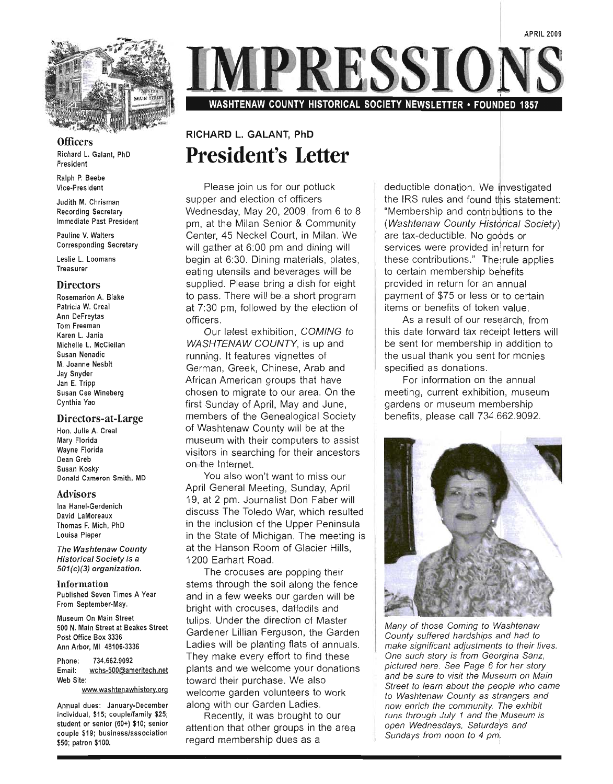

**Officers** Richard L. Galant, PhD President

Ralph P. Beebe Vice-President

Judith M. Chrisman Recording Secretary Immediate Past President

Pauline V. Walters Corresponding Secretary

Leslie L. Loomans Treasurer

#### **Directors**

Rosemarion A. Blake Patricia W. Creal Ann DeFreytas Tom Freeman Karen L. Jania Michelle L. McClellan Susan Nenadic M. Joanne Nesbit Jay Snyder Jan E. Tripp Susan Cee Wineberg Cynthia Yao

#### Directors-at-Large

Hon. Julie A. Creal Mary Florida Wayne Florida Dean Greb Susan Kosky Donald Cameron Smith, MD

#### Advisors

Ina Hanel-Gerdenich David LaMoreaux Thomas F. Mich, PhD Louisa Pieper

The Washtenaw County Historical Society is a 501(c)(3) organization.

Information Published Seven Times A Year From September-May.

Museum On Main Street 500 N. Main Street at Beakes Street Post Office Box 3336 Ann Arbor, MI 48106-3336

Phone: 734.662.9092 Email: wchs-500@ameritech.net Web Site:

www.washtenawhistory.org

Annual dues: January-December individual, \$15; couplelfamily \$25; student or senior (60+) \$10; senior couple \$19; business/association \$50; patron \$100.

**IPRESSIOI** 

WASHTENAW COUNTY HISTORICAL SOCIETY NEWSLETTER . FOUNDED 1857

### **RICHARD L. GALANT, PhD President's Letter**

Please join us for our potluck supper and election of officers Wednesday, May 20, 2009, from 6 to 8 pm, at the Milan Senior & Community Center, 45 Neckel Court, in Milan. We will gather at 6:00 pm and dining will begin at 6:30. Dining materials, plates, eating utensils and beverages will be supplied. Please bring a dish for eight to pass. There will be a short program at 7:30 pm, followed by the election of officers.

Our latest exhibition, COMING to WASHTENAW COUNTY, is up and running. It features vignettes of German, Greek, Chinese, Arab and African American groups that have chosen to migrate to our area. On the first Sunday of April, May-and June, members of the Genealogical Society of Washtenaw County will be at the museum with their computers to assist visitors in searching for their ancestors on the Internet.

You also won't want to miss our April General Meeting, Sunday, April 19, at 2 pm. Journalist Don Faber will discuss The Toledo War, which resulted in the inclusion of the Upper Peninsula in the State of Michigan. The meeting is at the Hanson Room of Glacier Hills, 1200 Earhart Road.

The crocuses are popping their stems through the soil along the fence and in a few weeks our garden will be bright with crocuses, daffodils and tulips. Under the direction of Master Gardener Lillian Ferguson, the Garden Ladies will be planting flats of annuals. They make every effort to find these plants and we welcome your donations toward their purchase. We also welcome garden volunteers to work along with our Garden Ladies.

Recently, it was brought to our attention that other groups in the area regard membership dues as a

deductible donation. We investigated the IRS rules and found this statement: "Membership and contributions to the (Washtenaw County Historical Society) are tax-deductible. No goods or services were provided in return for these contributions." The rule applies to certain membership behefits provided in return for an annual payment of \$75 or less or to certain items or benefits of token value.

As a result of our research, from this date forward tax receipt letters will be sent for membership in addition to the usual thank you sent for monies specified as donations.

For information on the annual meeting, current exhibitioh, museum gardens or museum membership benefits, please call 734.662.9092.



Many of those Coming to Washtenaw County suffered hardships and had to make significant adjustments to their lives. One such story is from Georgina Sanz, pictured here. See Page 6 for her story and be sure to visit the Museum on Main Street to learn about the people who came to Washtenaw County as strangers and now enrich the community The exhibit runs through July 1 and the Museum is open Wednesdays, Saturdays and Sundays from noon to 4 pm.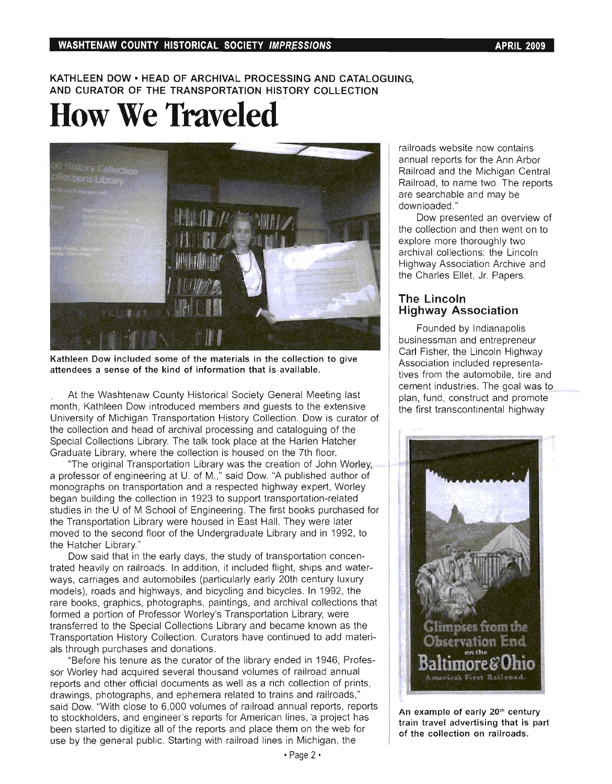#### **WASHTENAW COUNTY HISTORICAL SOCIETY IMPRESSIONS APRIL 2009 APRIL 2009**

#### **KATHLEEN DOW • HEAD OF ARCHIVAL PROCESSING AND CATALOGUING, AND CURATOR OF THE TRANSPORTATION HISTORY COLLECTION**

# **How We Traveled**



**Kathleen Dow included some of the materials in the collection to give attendees a sense of the kind of information that is available.** 

At the Washtenaw County Historical Society General Meeting last month, Kathleen Dow introduced members and guests to the extensive University of Michigan Transportation History Collection. Dow is curator of the collection and head of archival processing and cataloguing of the Special Collections Library. The talk took place at the Harlen Hatcher Graduate Library, where the collection is housed on the 7th floor.

"The original Transportation Library was the creation of John Worley, a professor of engineering at U. of M.," said Dow. "A published author of monographs on transportation and a respected highway expert, Worley began building the collection in 1923 to support transportation-related studies in the U of M School of Engineering. The first books purchased for the Transportation Library were housed in East Hall. They were later moved to the second floor of the Undergraduate Library and in 1992, to the Hatcher Library."

Dow said that in the early days, the study of transportation concentrated heavily on railroads. In addition, it included flight, ships and waterways, carriages and automobiles (particularly early 20th century luxury models), roads and highways, and bicycling and bicycles. In 1992, the rare books, graphics, photographs, paintings, and archival collections that formed a portion of Professor Worley's Transportation Library, were transferred to the Special Collections Library and became known as the Transportation History Collection. Curators have continued to add materials through purchases and donations.

"Before his tenure as the curator of the library ended in 1946, Professor Worley had acquired several thousand volumes of railroad annual reports and other official documents as well as a rich collection of prints, drawings, photographs, and ephemera related to trains and railroads," said Dow. "With close to 6,000 volumes of railroad annual reports, reports to stockholders, and engineer's reports for American lines, a project has been started to digitize all of the reports and place them on the web for use by the general public. Starting with railroad lines in Michigan, the

railroads website now contains annual reports for the Ann Arbor Railroad and the Michigan Central Railroad, to name two. The reports are searchable and may be downloaded. "

Dow presented an overview of the collection and then went on to explore more thoroughly two archival collections: the Lincoln Highway Association Archive and the Charles Ellet, Jr. Papers.

#### **The Lincoln Highway Association**

Founded by Indianapolis businessman and entrepreneur Carl Fisher, the Lincoln Highway Association included representatives from the automobile, tire and cement industries. The goal was to plan, fund, construct and promote the first transcontinental highway



**An example of early** 20lh **century train travel advertising that is part of the collection on railroads.**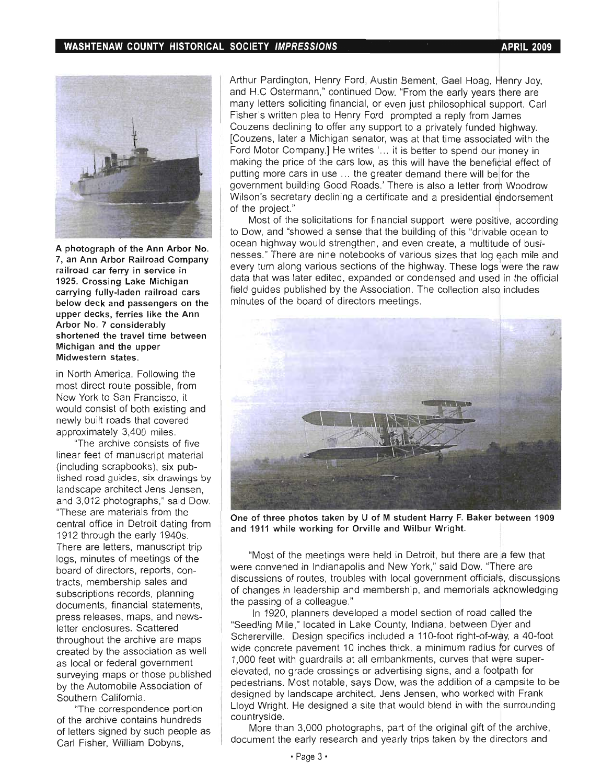

A photograph of the Ann Arbor No. 7, an Ann Arbor Railroad Company railroad car ferry in service in 1925. Crossing Lake Michigan carrying fully-laden railroad cars below deck and passengers on the upper decks, ferries like the Ann Arbor No. 7 considerably shortened the travel time between Michigan and the upper Midwestern states.

in North America. Following the most direct route possible, from New York to San Francisco, it would consist of both existing and newly built roads that covered approximately 3,400 miles.

'The archive consists of five linear feet of manuscript material (including scrapbooks), six published road guides, six drawings by landscape architect Jens Jensen, and 3,012 photographs," said Dow. "These are materials from the central office in Detroit dating from 1912 through the early 1940s. There are letters, manuscript trip logs, minutes of meetings of the board of directors, reports, contracts, membership sales and subscriptions records, planning documents, financial statements, press releases, maps, and newsletter enclosures. Scattered throughout the archive are maps created by the association as well as local or federal government surveying maps or those published by the Automobile Association of Southern California.

"The correspondence portion of the archive contains hundreds of letters signed by such people as Carl Fisher, William Dobyns,

Arthur Pardington, Henry Ford, Austin Bement, Gael Hoag, Henry Joy, and H.C Ostermann," continued Dow. "From the early years there are many letters soliciting financial, or even just philosophical support. Carl Fisher's written plea to Henry Ford prompted a reply from James Couzens declining to offer any support to a privately funded highway. [Couzens, later a Michigan senator, was at that time associated with the Ford Motor Company.] He writes '... it is better to spend our money in making the price of the cars low, as this will have the beneficial effect of putting more cars in use ... the greater demand there will be for the government building Good Roads.' There is also a letter from Woodrow Wilson's secretary declining a certificate and a presidential endorsement of the project."

Most of the solicitations for financial support were positive, according to Dow, and "showed a sense that the building of this "drivable ocean to ocean highway would strengthen, and even create, a multitude of businesses." There are nine notebooks of various sizes that log each mile and every turn along various sections of the highway. These logs were the raw data that was later edited, expanded or condensed and used in the official field guides published by the Association . The collection also includes minutes of the board of directors meetings.



One of three photos taken by U of M student Harry F. Baker between 1909 and 1911 while working for Orville and Wilbur Wright.

"Most of the meetings were held in Detroit, but there are a few that were convened in Indianapolis and New York," said Dow. "There are discussions of routes, troubles with local government officials, discussions of changes in leadership and membership, and memorials acknowledging the passing of a colleague."

In 1920, planners developed a model section of road called the "Seedling Mile," located in Lake County, Indiana, between Dyer and Schererville. Design specifics included a 110-foot right-of-way, a 40-foot wide concrete pavement 10 inches thick, a minimum radius for curves of 1,000 feet with guardrails at all embankments, curves that were superelevated, no grade crossings or advertising signs, and a footpath for pedestrians. Most notable, says Dow, was the addition of a campsite to be designed by landscape architect, Jens Jensen, who worked with Frank Lloyd Wright. He designed a site that would blend in with the surrounding countryside.

More than 3,000 photographs, part of the original gift of the archive, document the early research and yearly trips taken by the directors and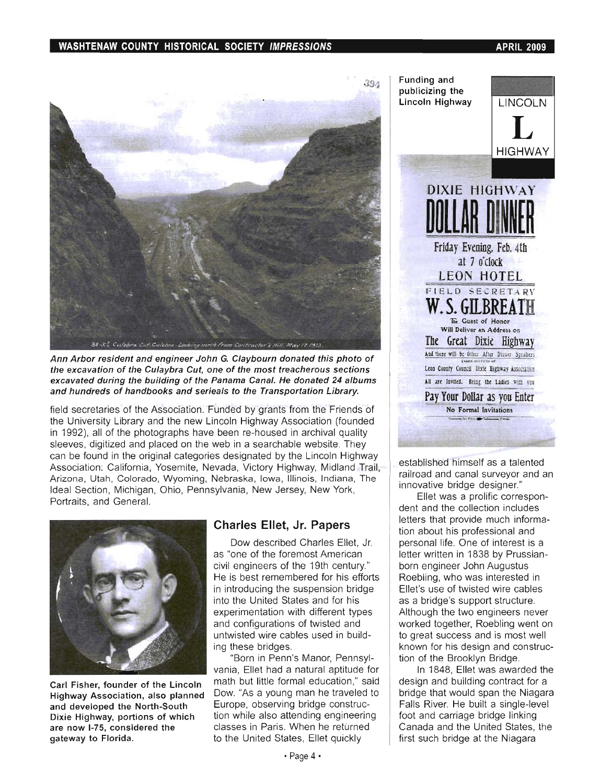#### WASHTENAW COUNTY HISTORICAL SOCIETY IMPRESSIONS **APRIL 2009**



Ann Arbor resident and engineer John G. Claybourn donated this photo of the excavation of the Culaybra Cut, one of the most treacherous sections excavated during the building of the Panama Canal. He donated 24 albums and hundreds of handbooks and serieals to the Transportation Library.

field secretaries of the Association . Funded by grants from the Friends of the University Library and the new Lincoln Highway Association (founded in 1992), all of the photographs have been re-housed in archival quality sleeves, digitized and placed on the web in a searchable website. They can be found in the original categories designated by the Lincoln Highway Association: California, Yosemite, Nevada, Victory Highway, Midland Trail, Arizona, Utah, Colorado, Wyoming, Nebraska, Iowa, Illinois, Indiana, The Ideal Section, Michigan, Ohio, Pennsylvania, New Jersey, New York, Portraits, and General.



Carl Fisher, founder of the Lincoln Highway Association, also planned and developed the North-South Dixie Highway, portions of which are now 1-75, considered the gateway to Florida.

#### Charles Ellet, Jr. Papers

Dow described Charles Ellet, Jr. as "one of the foremost American civil engineers of the 19th century." He is best remembered for his efforts in introducing the suspension bridge into the United States and for his experimentation with different types and configurations of twisted and untwisted wire cables used in building these bridges.

"Born in Penn's Manor, Pennsylvania, Ellet had a natural aptitude for math but little formal education," said Dow. "As a young man he traveled to Europe, observing bridge construction while also attending engineering classes in Paris. When he returned to the United States, Ellet quickly



established himself as a talented railroad and canal surveyor and an innovative bridge designer."

Ellet was a prolific correspondent and the collection includes letters that provide much information about his professional and personal life. One of interest is a letter written in 1838 by Prussianborn engineer John Augustus Roebling, who was interested in Ellet's use of twisted wire cables as a bridge's support structure. Although the two engineers never worked together, Roebling went on to great success and is most well known for his design and construction of the Brooklyn Bridge.

In 1848, Ellet was awarded the design and building contract for a bridge that would span the Niagara Falls River. He built a single-level foot and carriage bridge linking Canada and the United States, the first such bridge at the Niagara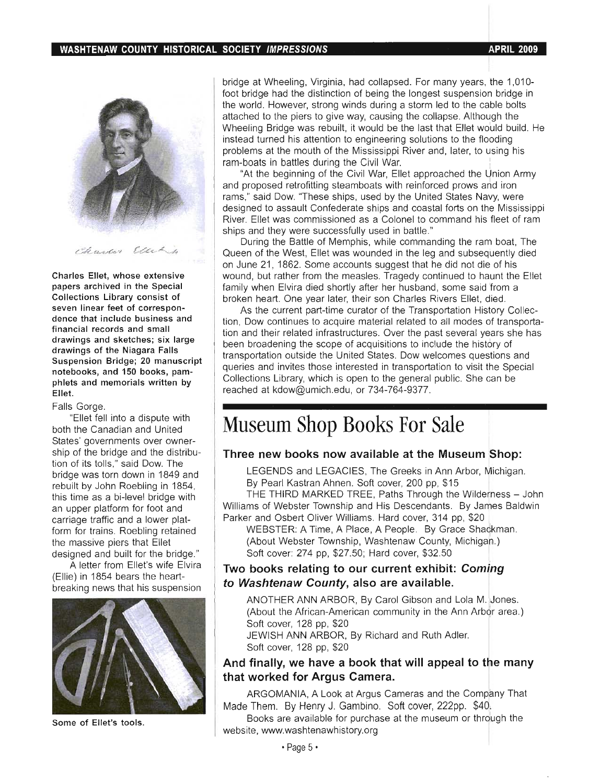

Charles Eller

Charles Ellet, whose extensive papers archived in the Special Collections Library consist of seven linear feet of correspondence that include business and financial records and small drawings and sketches; six large drawings of the Niagara Falls Suspension Bridge; 20 manuscript notebooks, and 150 books, pamphlets and memorials written by Ellet.

#### Falls Gorge.

"Ellet fell into a dispute with both the Canadian and United States' governments over ownership of the bridge and the distribution of its tolls," said Dow. The bridge was torn down in 1849 and rebuilt by John Roebling in 1854, this time as a bi-Ievel bridge with an upper platform for foot and carriage traffic and a lower platform for trains. Roebling retained the massive piers that Ellet designed and built for the bridge."

A letter from Ellet's wife Elvira (Ellie) in 1854 bears the heartbreaking news that his suspension



Some of Ellet's tools.

II. bridge at Wheeling, Virginia, had collapsed. For many years, the 1,010foot bridge had the distinction of being the longest suspension bridge in the world. However, strong winds during a storm led to the cable bolts attached to the piers to give way, causing the collapse. Although the Wheeling Bridge was rebuilt, it would be the last that Ellet would build. He instead turned his attention to engineering solutions to the flooding problems at the mouth of the Mississippi River and, later, to using his ram-boats in battles during the Civil War.

"At the beginning of the Civil War, Ellet approached the Union Army and proposed retrofitting steamboats with reinforced prows and iron rams," said Dow. "These ships, used by the United States Navy, were designed to assault Confederate ships and coastal forts on the Mississippi River. Ellet was commissioned as a Colonel to command his fleet of ram ships and they were successfully used in battle."

During the Battle of Memphis, while commanding the ram boat, The Queen of the West, Ellet was wounded in the leg and subsequently died on June 21, 1862. Some accounts suggest that he did not die of his wound, but rather from the measles. Tragedy continued to haunt the Ellet family when Elvira died shortly after her husband, some said from a broken heart. One year later, their son Charles Rivers Ellet, died.

As the current part-time curator of the Transportation History Collection, Dow continues to acquire material related to all modes df transportation and their related infrastructures. Over the past several years she has been broadening the scope of acquisitions to include the history of transportation outside the United States. Dow welcomes questions and queries and invites those interested in transportation to visit the Special Collections Library, which is open to the general public. She can be reached at kdow@umich.edu, or 734-764-9377.

### **Museum Shop Books For Sale**

#### **Three new books now available at the Museum Shop:**

LEGENDS and LEGACIES, The Greeks in Ann Arbor, Michigan. By Pearl Kastran Ahnen. Soft cover, 200 pp, \$15

THE THIRD MARKED TREE, Paths Through the Wilderness - John Williams of Webster Township and His Descendants. By James Baldwin Parker and Osbert Oliver Williams. Hard cover, 314 pp, \$20

WEBSTER: A Time, A Place, A People. By Grace Shackman. (About Webster Township, Washtenaw County, Michigah.) Soft cover: 274 pp, \$27.50; Hard cover, \$32.50

#### **Two books relating to our current exhibit: Coming to Washtenaw County, also are available.**

ANOTHER ANN ARBOR, By Carol Gibson and Lola M. Jones. (About the African-American community in the Ann Arbor area.) Soft cover, 128 pp, \$20 JEWISH ANN ARBOR, By Richard and Ruth Adler. Soft cover, 128 pp, \$20

#### **And finally, we have a book that will appeal to** tie **many that worked for Argus Camera.**

ARGOMANIA, A Look at Argus Cameras and the Company That Made Them. By Henry J. Gambino. Soft cover, 222pp. \$40l

Books are available for purchase at the museum or through the website, www.washtenawhistory.org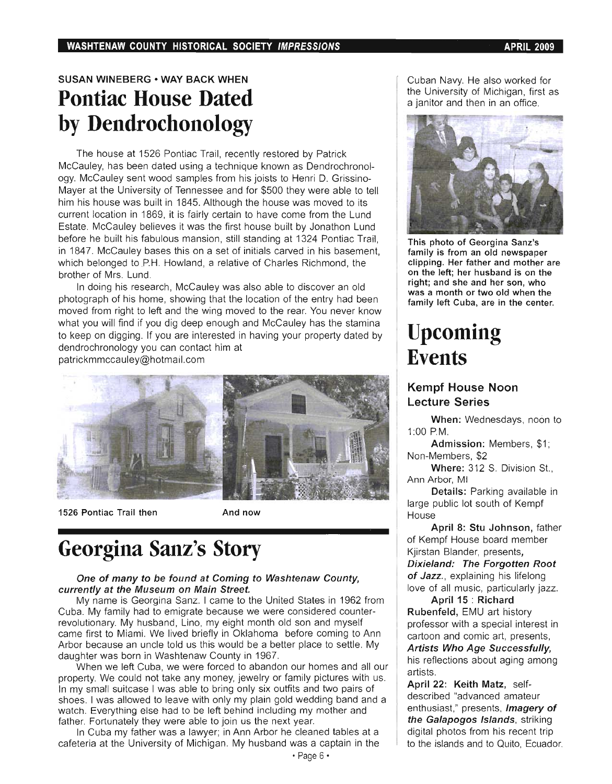### SUSAN WINEBERG • WAY BACK WHEN **Pontiac House Dated by Dendrochonology**

The house at 1526 Pontiac Trail, recently restored by Patrick McCauley, has been dated using a technique known as Dendrochronology. McCauley sent wood samples from his joists to Henri D. Grissino-Mayer at the University of Tennessee and for \$500 they were able to tell him his house was built in 1845. Although the house was moved to its current location in 1869, it is fairly certain to have come from the Lund Estate. McCauley believes it was the first house built by Jonathon Lund before he built his fabulous mansion, still standing at 1324 Pontiac Trail, in 1847. McCauley bases this on a set of initials carved in his basement, which belonged to PH. Howland, a relative of Charles Richmond, the brother of Mrs. Lund.

In doing his research, McCauley was also able to discover an old photograph of his home, showing that the location of the entry had been moved from right to left and the wing moved to the rear. You never know what you will find if you dig deep enough and McCauley has the stamina to keep on digging. If you are interested in having your property dated by dendrochronology you can contact him at

patrickmmccauley@hotmail.com



1526 Pontiac Trail then And now

## **Georgina Sanz's Story**

#### One of many to be found at Coming to Washtenaw County, currently at the Museum on Main Street.

My name is Georgina Sanz. I came to the United States in 1962 from Cuba. My family had to emigrate because we were considered counterrevolutionary. My husband, Lino, my eight month old son and myself came first to Miami. We lived briefly in Oklahoma before coming to Ann Arbor because an uncle told us this would be a better place to settle. My daughter was born in Washtenaw County in 1967.

When we left Cuba, we were forced to abandon our homes and all our property. We could not take any money, jewelry or family pictures with us. In my small suitcase I was able to bring only six outfits and two pairs of shoes. I was allowed to leave with only my plain gold wedding band and a watch. Everything else had to be left behind including my mother and father. Fortunately they were able to join us the next year.

In Cuba my father was a lawyer; in Ann Arbor he cleaned tables at a cafeteria at the University of Michigan. My husband was a captain in the Cuban Navy. He also worked for the University of Michigan, first as a janitor and then in an office.



This photo of Georgina Sanz's family is from an old newspaper clipping. Her father and mother are on the left; her husband is on the right; and she and her son, who was a month or two old when the family left Cuba, are in the center.

## **Upcoming Events**

#### Kempf House Noon Lecture Series

When: Wednesdays, noon to 1:00 P.M.

Admission: Members, \$1; Non-Members, \$2

Where: 312 S. Division St., Ann Arbor, MI

Details: Parking available in large public lot south of Kempf **House** 

April 8: Stu Johnson, father of Kempf House board member Kjirstan Blander, presents, Dixieland: The Forgotten Root of Jazz., explaining his lifelong love of all music, particularly jazz.

April 15 : Richard Rubenfeld, EMU art history professor with a special interest in cartoon and comic art, presents, Artists Who Age Successfully,

his reflections about aging among artists.

April 22: Keith Matz, selfdescribed "advanced amateur enthusiast," presents, *Imagery of* the Galapogos Islands, striking digital photos from his recent trip to the islands and to Quito, Ecuador.